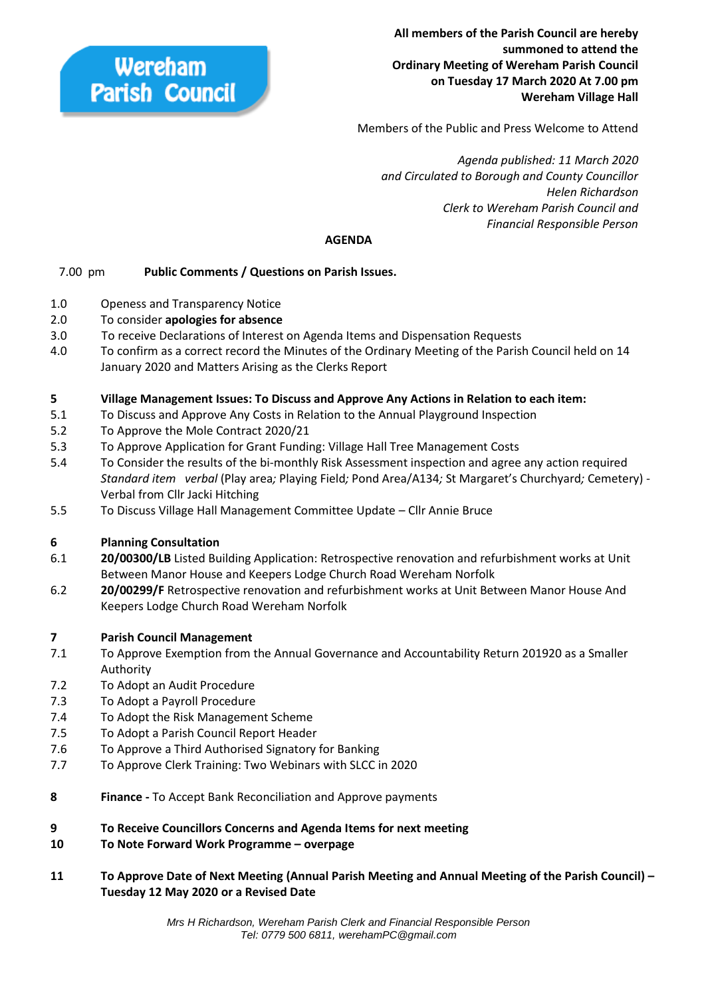

**All members of the Parish Council are hereby summoned to attend the Ordinary Meeting of Wereham Parish Council on Tuesday 17 March 2020 At 7.00 pm Wereham Village Hall**

Members of the Public and Press Welcome to Attend

 *Agenda published: 11 March 2020 and Circulated to Borough and County Councillor Helen Richardson Clerk to Wereham Parish Council and Financial Responsible Person*

## **AGENDA**

## 7.00 pm **Public Comments / Questions on Parish Issues.**

- 1.0 Openess and Transparency Notice
- 2.0 To consider **apologies for absence**
- 3.0 To receive Declarations of Interest on Agenda Items and Dispensation Requests
- 4.0 To confirm as a correct record the Minutes of the Ordinary Meeting of the Parish Council held on 14 January 2020 and Matters Arising as the Clerks Report

## **5 Village Management Issues: To Discuss and Approve Any Actions in Relation to each item:**

- 5.1 To Discuss and Approve Any Costs in Relation to the Annual Playground Inspection
- 5.2 To Approve the Mole Contract 2020/21
- 5.3 To Approve Application for Grant Funding: Village Hall Tree Management Costs
- 5.4 To Consider the results of the bi-monthly Risk Assessment inspection and agree any action required *Standard item verbal* (Play area*;* Playing Field*;* Pond Area/A134*;* St Margaret's Churchyard*;* Cemetery) - Verbal from Cllr Jacki Hitching
- 5.5 To Discuss Village Hall Management Committee Update Cllr Annie Bruce

## **6 Planning Consultation**

- 6.1 **20/00300/LB** Listed Building Application: Retrospective renovation and refurbishment works at Unit Between Manor House and Keepers Lodge Church Road Wereham Norfolk
- 6.2 **20/00299/F** Retrospective renovation and refurbishment works at Unit Between Manor House And Keepers Lodge Church Road Wereham Norfolk

## **7 Parish Council Management**

- 7.1 To Approve Exemption from the Annual Governance and Accountability Return 201920 as a Smaller Authority
- 7.2 To Adopt an Audit Procedure
- 7.3 To Adopt a Payroll Procedure
- 7.4 To Adopt the Risk Management Scheme
- 7.5 To Adopt a Parish Council Report Header
- 7.6 To Approve a Third Authorised Signatory for Banking
- 7.7 To Approve Clerk Training: Two Webinars with SLCC in 2020
- **8 Finance -** To Accept Bank Reconciliation and Approve payments
- **9 To Receive Councillors Concerns and Agenda Items for next meeting**
- **10 To Note Forward Work Programme – overpage**
- **11 To Approve Date of Next Meeting (Annual Parish Meeting and Annual Meeting of the Parish Council) – Tuesday 12 May 2020 or a Revised Date**